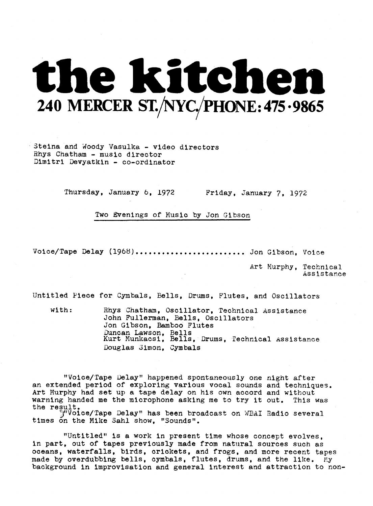## the kitchen 240 MERCER ST./NYC./PHONE: 475 .9865

Steina and Moody Vasulka - video directors Rhys Chatham - music director Dimitri Devyatkin - co-ordinator

Thursday, January b, 1972 Friday, January 7, 1972

Two Evenings of Music by Jon Gibson

Voice/Tape Delay (1968)................................. Jon Gibson, Voice

Art Murphy, Technical Assistance

Untitled Piece for Cymbals, Bells, Drums, Flutes, and Oscillators

with: Rhys Chatham, Oscillator, Technical Assistance John Fullerman, Bells, Oscillators Jon Gibson, Bamboo Flutes Duncan Lawson, Bells Kurt Munkacsi, Bells, Drums, Technical Assistance Douglas Simon, Cymbals

"Voice/Tape Delay" happened spontaneously one night after an extended period of exploring various vocal sounds and techniques, Art Murphy had set up a tape delay on his own accord and without warning handed me the microphone asking me to try it out. This was warning handed me the microphone asking me to try it out. the result, "Voice/Tape Delay" has been broadcast on WBAI Radio several times on the Mike Sahl show, "Sounds".

"Untitled" is a work in present time whose concept evolves, In part, out of tapes previously made from natural sources such as oceans, waterfalls, birds, crickets, and frogs, and more recent tapes made by overdubbing bells, cymbals, flutes, drums, and the like. My background in improvisation and general interest and attraction to non